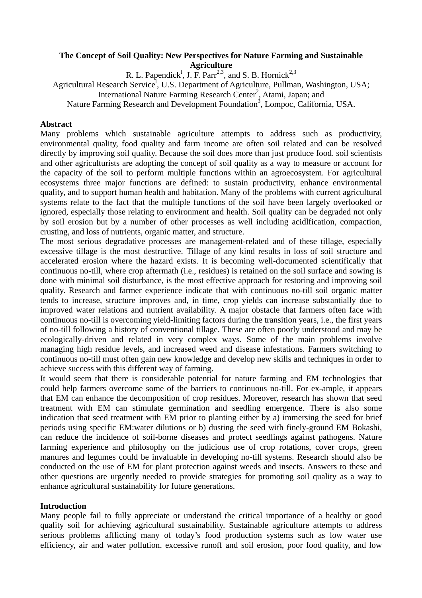# **The Concept of Soil Quality: New Perspectives for Nature Farming and Sustainable Agriculture**

R. L. Papendick<sup>1</sup>, J. F. Parr<sup>2,3</sup>, and S. B. Hornick<sup>2,3</sup>

Agricultural Research Service<sup>1</sup>, U.S. Department of Agriculture, Pullman, Washington, USA;

International Nature Farming Research Center<sup>2</sup>, Atami, Japan; and

Nature Farming Research and Development Foundation<sup>3</sup>, Lompoc, California, USA.

## **Abstract**

Many problems which sustainable agriculture attempts to address such as productivity, environmental quality, food quality and farm income are often soil related and can be resolved directly by improving soil quality. Because the soil does more than just produce food. soil scientists and other agriculturists are adopting the concept of soil quality as a way to measure or account for the capacity of the soil to perform multiple functions within an agroecosystem. For agricultural ecosystems three major functions are defined: to sustain productivity, enhance environmental quality, and to support human health and habitation. Many of the problems with current agricultural systems relate to the fact that the multiple functions of the soil have been largely overlooked or ignored, especially those relating to environment and health. Soil quality can be degraded not only by soil erosion but by a number of other processes as well including acidlfication, compaction, crusting, and loss of nutrients, organic matter, and structure.

The most serious degradative processes are management-related and of these tillage, especially excessive tillage is the most destructive. Tillage of any kind results in loss of soil structure and accelerated erosion where the hazard exists. It is becoming well-documented scientifically that continuous no-till, where crop aftermath (i.e., residues) is retained on the soil surface and sowing is done with minimal soil disturbance, is the most effective approach for restoring and improving soil quality. Research and farmer experience indicate that with continuous no-till soil organic matter tends to increase, structure improves and, in time, crop yields can increase substantially due to improved water relations and nutrient availability. A major obstacle that farmers often face with continuous no-till is overcoming yield-limiting factors during the transition years, i.e., the first years of no-till following a history of conventional tillage. These are often poorly understood and may be ecologically-driven and related in very complex ways. Some of the main problems involve managing high residue levels, and increased weed and disease infestations. Farmers switching to continuous no-till must often gain new knowledge and develop new skills and techniques in order to achieve success with this different way of farming.

It would seem that there is considerable potential for nature farming and EM technologies that could help farmers overcome some of the barriers to continuous no-till. For ex-ample, it appears that EM can enhance the decomposition of crop residues. Moreover, research has shown that seed treatment with EM can stimulate germination and seedling emergence. There is also some indication that seed treatment with EM prior to planting either by a) immersing the seed for brief periods using specific EM:water dilutions or b) dusting the seed with finely-ground EM Bokashi, can reduce the incidence of soil-borne diseases and protect seedlings against pathogens. Nature farming experience and philosophy on the judicious use of crop rotations, cover crops, green manures and legumes could be invaluable in developing no-till systems. Research should also be conducted on the use of EM for plant protection against weeds and insects. Answers to these and other questions are urgently needed to provide strategies for promoting soil quality as a way to enhance agricultural sustainability for future generations.

#### **Introduction**

Many people fail to fully appreciate or understand the critical importance of a healthy or good quality soil for achieving agricultural sustainability. Sustainable agriculture attempts to address serious problems afflicting many of today's food production systems such as low water use efficiency, air and water pollution. excessive runoff and soil erosion, poor food quality, and low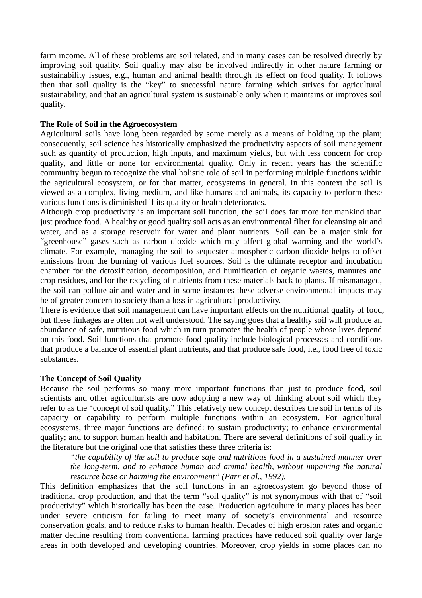farm income. All of these problems are soil related, and in many cases can be resolved directly by improving soil quality. Soil quality may also be involved indirectly in other nature farming or sustainability issues, e.g., human and animal health through its effect on food quality. It follows then that soil quality is the "key" to successful nature farming which strives for agricultural sustainability, and that an agricultural system is sustainable only when it maintains or improves soil quality.

## **The Role of Soil in the Agroecosystem**

Agricultural soils have long been regarded by some merely as a means of holding up the plant; consequently, soil science has historically emphasized the productivity aspects of soil management such as quantity of production, high inputs, and maximum yields, but with less concern for crop quality, and little or none for environmental quality. Only in recent years has the scientific community begun to recognize the vital holistic role of soil in performing multiple functions within the agricultural ecosystem, or for that matter, ecosystems in general. In this context the soil is viewed as a complex, living medium, and like humans and animals, its capacity to perform these various functions is diminished if its quality or health deteriorates.

Although crop productivity is an important soil function, the soil does far more for mankind than just produce food. A healthy or good quality soil acts as an environmental filter for cleansing air and water, and as a storage reservoir for water and plant nutrients. Soil can be a major sink for "greenhouse" gases such as carbon dioxide which may affect global warming and the world's climate. For example, managing the soil to sequester atmospheric carbon dioxide helps to offset emissions from the burning of various fuel sources. Soil is the ultimate receptor and incubation chamber for the detoxification, decomposition, and humification of organic wastes, manures and crop residues, and for the recycling of nutrients from these materials back to plants. If mismanaged, the soil can pollute air and water and in some instances these adverse environmental impacts may be of greater concern to society than a loss in agricultural productivity.

There is evidence that soil management can have important effects on the nutritional quality of food, but these linkages are often not well understood. The saying goes that a healthy soil will produce an abundance of safe, nutritious food which in turn promotes the health of people whose lives depend on this food. Soil functions that promote food quality include biological processes and conditions that produce a balance of essential plant nutrients, and that produce safe food, i.e., food free of toxic substances.

#### **The Concept of Soil Quality**

Because the soil performs so many more important functions than just to produce food, soil scientists and other agriculturists are now adopting a new way of thinking about soil which they refer to as the "concept of soil quality." This relatively new concept describes the soil in terms of its capacity or capability to perform multiple functions within an ecosystem. For agricultural ecosystems, three major functions are defined: to sustain productivity; to enhance environmental quality; and to support human health and habitation. There are several definitions of soil quality in the literature but the original one that satisfies these three criteria is:

*"the capability of the soil to produce safe and nutritious food in a sustained manner over the long-term, and to enhance human and animal health, without impairing the natural resource base or harming the environment" (Parr et al., 1992).* 

This definition emphasizes that the soil functions in an agroecosystem go beyond those of traditional crop production, and that the term "soil quality" is not synonymous with that of "soil productivity" which historically has been the case. Production agriculture in many places has been under severe criticism for failing to meet many of society's environmental and resource conservation goals, and to reduce risks to human health. Decades of high erosion rates and organic matter decline resulting from conventional farming practices have reduced soil quality over large areas in both developed and developing countries. Moreover, crop yields in some places can no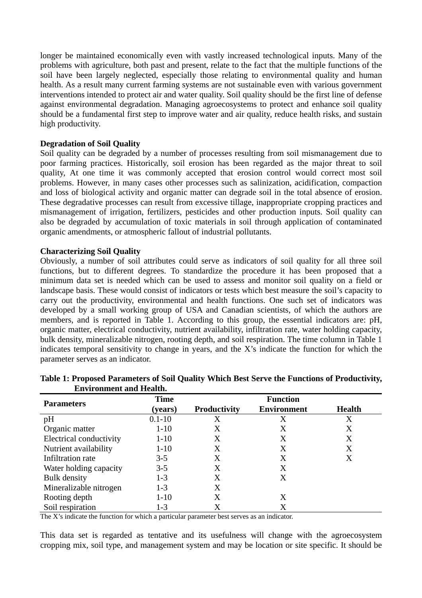longer be maintained economically even with vastly increased technological inputs. Many of the problems with agriculture, both past and present, relate to the fact that the multiple functions of the soil have been largely neglected, especially those relating to environmental quality and human health. As a result many current farming systems are not sustainable even with various government interventions intended to protect air and water quality. Soil quality should be the first line of defense against environmental degradation. Managing agroecosystems to protect and enhance soil quality should be a fundamental first step to improve water and air quality, reduce health risks, and sustain high productivity.

#### **Degradation of Soil Quality**

Soil quality can be degraded by a number of processes resulting from soil mismanagement due to poor farming practices. Historically, soil erosion has been regarded as the major threat to soil quality, At one time it was commonly accepted that erosion control would correct most soil problems. However, in many cases other processes such as salinization, acidification, compaction and loss of biological activity and organic matter can degrade soil in the total absence of erosion. These degradative processes can result from excessive tillage, inappropriate cropping practices and mismanagement of irrigation, fertilizers, pesticides and other production inputs. Soil quality can also be degraded by accumulation of toxic materials in soil through application of contaminated organic amendments, or atmospheric fallout of industrial pollutants.

#### **Characterizing Soil Quality**

Obviously, a number of soil attributes could serve as indicators of soil quality for all three soil functions, but to different degrees. To standardize the procedure it has been proposed that a minimum data set is needed which can be used to assess and monitor soil quality on a field or landscape basis. These would consist of indicators or tests which best measure the soil's capacity to carry out the productivity, environmental and health functions. One such set of indicators was developed by a small working group of USA and Canadian scientists, of which the authors are members, and is reported in Table 1. According to this group, the essential indicators are: pH, organic matter, electrical conductivity, nutrient availability, infiltration rate, water holding capacity, bulk density, mineralizable nitrogen, rooting depth, and soil respiration. The time column in Table 1 indicates temporal sensitivity to change in years, and the X's indicate the function for which the parameter serves as an indicator.

| <b>Parameters</b>       | <b>Time</b> | <b>Function</b>     |                    |               |
|-------------------------|-------------|---------------------|--------------------|---------------|
|                         | (years)     | <b>Productivity</b> | <b>Environment</b> | <b>Health</b> |
| pH                      | $0.1 - 10$  | Х                   | Χ                  | Χ             |
| Organic matter          | $1 - 10$    | X                   | X                  | X             |
| Electrical conductivity | $1 - 10$    | X                   | Χ                  | X             |
| Nutrient availability   | $1-10$      | Х                   | Χ                  | X             |
| Infiltration rate       | $3 - 5$     | X                   | Χ                  | X             |
| Water holding capacity  | $3 - 5$     | X                   | Χ                  |               |
| Bulk density            | $1-3$       | X                   | Χ                  |               |
| Mineralizable nitrogen  | $1 - 3$     | Х                   |                    |               |
| Rooting depth           | $1 - 10$    | X                   | X                  |               |
| Soil respiration        | 1-3         |                     |                    |               |

## **Table 1: Proposed Parameters of Soil Quality Which Best Serve the Functions of Productivity, Environment and Health.**

The X's indicate the function for which a particular parameter best serves as an indicator.

This data set is regarded as tentative and its usefulness will change with the agroecosystem cropping mix, soil type, and management system and may be location or site specific. It should be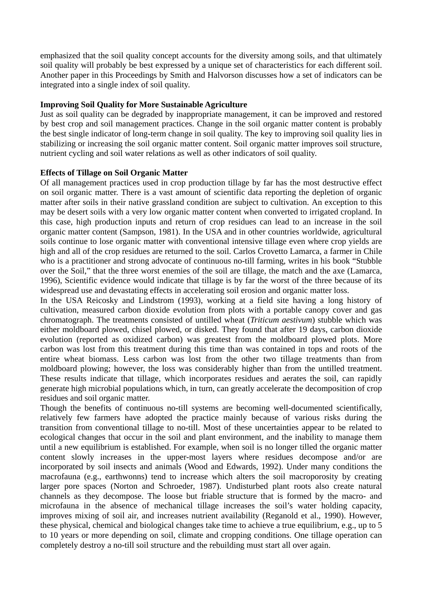emphasized that the soil quality concept accounts for the diversity among soils, and that ultimately soil quality will probably be best expressed by a unique set of characteristics for each different soil. Another paper in this Proceedings by Smith and Halvorson discusses how a set of indicators can be integrated into a single index of soil quality.

## **Improving Soil Quality for More Sustainable Agriculture**

Just as soil quality can be degraded by inappropriate management, it can be improved and restored by best crop and soil management practices. Change in the soil organic matter content is probably the best single indicator of long-term change in soil quality. The key to improving soil quality lies in stabilizing or increasing the soil organic matter content. Soil organic matter improves soil structure, nutrient cycling and soil water relations as well as other indicators of soil quality.

## **Effects of Tillage on Soil Organic Matter**

Of all management practices used in crop production tillage by far has the most destructive effect on soil organic matter. There is a vast amount of scientific data reporting the depletion of organic matter after soils in their native grassland condition are subject to cultivation. An exception to this may be desert soils with a very low organic matter content when converted to irrigated cropland. In this case, high production inputs and return of crop residues can lead to an increase in the soil organic matter content (Sampson, 1981). In the USA and in other countries worldwide, agricultural soils continue to lose organic matter with conventional intensive tillage even where crop yields are high and all of the crop residues are returned to the soil. Carlos Crovetto Lamarca, a farmer in Chile who is a practitioner and strong advocate of continuous no-till farming, writes in his book "Stubble over the Soil," that the three worst enemies of the soil are tillage, the match and the axe (Lamarca, 1996), Scientific evidence would indicate that tillage is by far the worst of the three because of its widespread use and devastating effects in accelerating soil erosion and organic matter loss.

In the USA Reicosky and Lindstrom (1993), working at a field site having a long history of cultivation, measured carbon dioxide evolution from plots with a portable canopy cover and gas chromatograph. The treatments consisted of untilled wheat (*Triticum aestivum*) stubble which was either moldboard plowed, chisel plowed, or disked. They found that after 19 days, carbon dioxide evolution (reported as oxidized carbon) was greatest from the moldboard plowed plots. More carbon was lost from this treatment during this time than was contained in tops and roots of the entire wheat biomass. Less carbon was lost from the other two tillage treatments than from moldboard plowing; however, the loss was considerably higher than from the untilled treatment. These results indicate that tillage, which incorporates residues and aerates the soil, can rapidly generate high microbial populations which, in turn, can greatly accelerate the decomposition of crop residues and soil organic matter.

Though the benefits of continuous no-till systems are becoming well-documented scientifically, relatively few farmers have adopted the practice mainly because of various risks during the transition from conventional tillage to no-till. Most of these uncertainties appear to be related to ecological changes that occur in the soil and plant environment, and the inability to manage them until a new equilibrium is established. For example, when soil is no longer tilled the organic matter content slowly increases in the upper-most layers where residues decompose and/or are incorporated by soil insects and animals (Wood and Edwards, 1992). Under many conditions the macrofauna (e.g., earthwonns) tend to increase which alters the soil macroporosity by creating larger pore spaces (Norton and Schroeder, 1987). Undisturbed plant roots also create natural channels as they decompose. The loose but friable structure that is formed by the macro- and microfauna in the absence of mechanical tillage increases the soil's water holding capacity, improves mixing of soil air, and increases nutrient availability (Reganold et al., 1990). However, these physical, chemical and biological changes take time to achieve a true equilibrium, e.g., up to 5 to 10 years or more depending on soil, climate and cropping conditions. One tillage operation can completely destroy a no-till soil structure and the rebuilding must start all over again.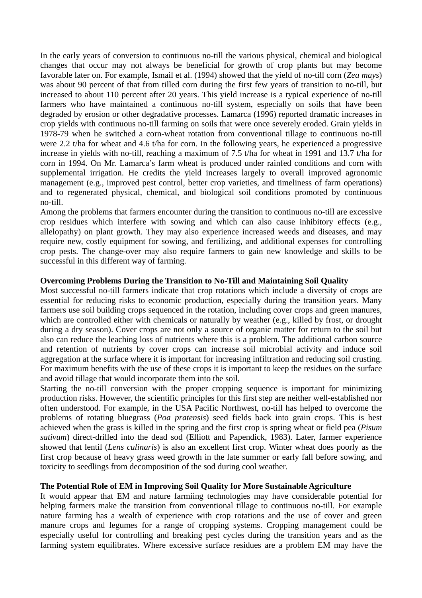In the early years of conversion to continuous no-till the various physical, chemical and biological changes that occur may not always be beneficial for growth of crop plants but may become favorable later on. For example, Ismail et al. (1994) showed that the yield of no-till corn (*Zea mays*) was about 90 percent of that from tilled corn during the first few years of transition to no-till, but increased to about 110 percent after 20 years. This yield increase is a typical experience of no-till farmers who have maintained a continuous no-till system, especially on soils that have been degraded by erosion or other degradative processes. Lamarca (1996) reported dramatic increases in crop yields with continuous no-till farming on soils that were once severely eroded. Grain yields in 1978-79 when he switched a corn-wheat rotation from conventional tillage to continuous no-till were 2.2 t/ha for wheat and 4.6 t/ha for corn. In the following years, he experienced a progressive increase in yields with no-till, reaching a maximum of 7.5 t/ha for wheat in 1991 and 13.7 t/ha for corn in 1994. On Mr. Lamarca's farm wheat is produced under rainfed conditions and corn with supplemental irrigation. He credits the yield increases largely to overall improved agronomic management (e.g., improved pest control, better crop varieties, and timeliness of farm operations) and to regenerated physical, chemical, and biological soil conditions promoted by continuous no-till.

Among the problems that farmers encounter during the transition to continuous no-till are excessive crop residues which interfere with sowing and which can also cause inhibitory effects (e.g., allelopathy) on plant growth. They may also experience increased weeds and diseases, and may require new, costly equipment for sowing, and fertilizing, and additional expenses for controlling crop pests. The change-over may also require farmers to gain new knowledge and skills to be successful in this different way of farming.

## **Overcoming Problems During the Transition to No-Till and Maintaining Soil Quality**

Most successful no-till farmers indicate that crop rotations which include a diversity of crops are essential for reducing risks to economic production, especially during the transition years. Many farmers use soil building crops sequenced in the rotation, including cover crops and green manures, which are controlled either with chemicals or naturally by weather (e.g., killed by frost, or drought during a dry season). Cover crops are not only a source of organic matter for return to the soil but also can reduce the leaching loss of nutrients where this is a problem. The additional carbon source and retention of nutrients by cover crops can increase soil microbial activity and induce soil aggregation at the surface where it is important for increasing infiltration and reducing soil crusting. For maximum benefits with the use of these crops it is important to keep the residues on the surface and avoid tillage that would incorporate them into the soil.

Starting the no-till conversion with the proper cropping sequence is important for minimizing production risks. However, the scientific principles for this first step are neither well-established nor often understood. For example, in the USA Pacific Northwest, no-till has helped to overcome the problems of rotating bluegrass (*Poa pratensis*) seed fields back into grain crops. This is best achieved when the grass is killed in the spring and the first crop is spring wheat or field pea (*Pisum sativum*) direct-drilled into the dead sod (Elliott and Papendick, 1983). Later, farmer experience showed that lentil (*Lens culinaris*) is also an excellent first crop. Winter wheat does poorly as the first crop because of heavy grass weed growth in the late summer or early fall before sowing, and toxicity to seedlings from decomposition of the sod during cool weather.

#### **The Potential Role of EM in Improving Soil Quality for More Sustainable Agriculture**

It would appear that EM and nature farmiing technologies may have considerable potential for helping farmers make the transition from conventional tillage to continuous no-till. For example nature farming has a wealth of experience with crop rotations and the use of cover and green manure crops and legumes for a range of cropping systems. Cropping management could be especially useful for controlling and breaking pest cycles during the transition years and as the farming system equilibrates. Where excessive surface residues are a problem EM may have the